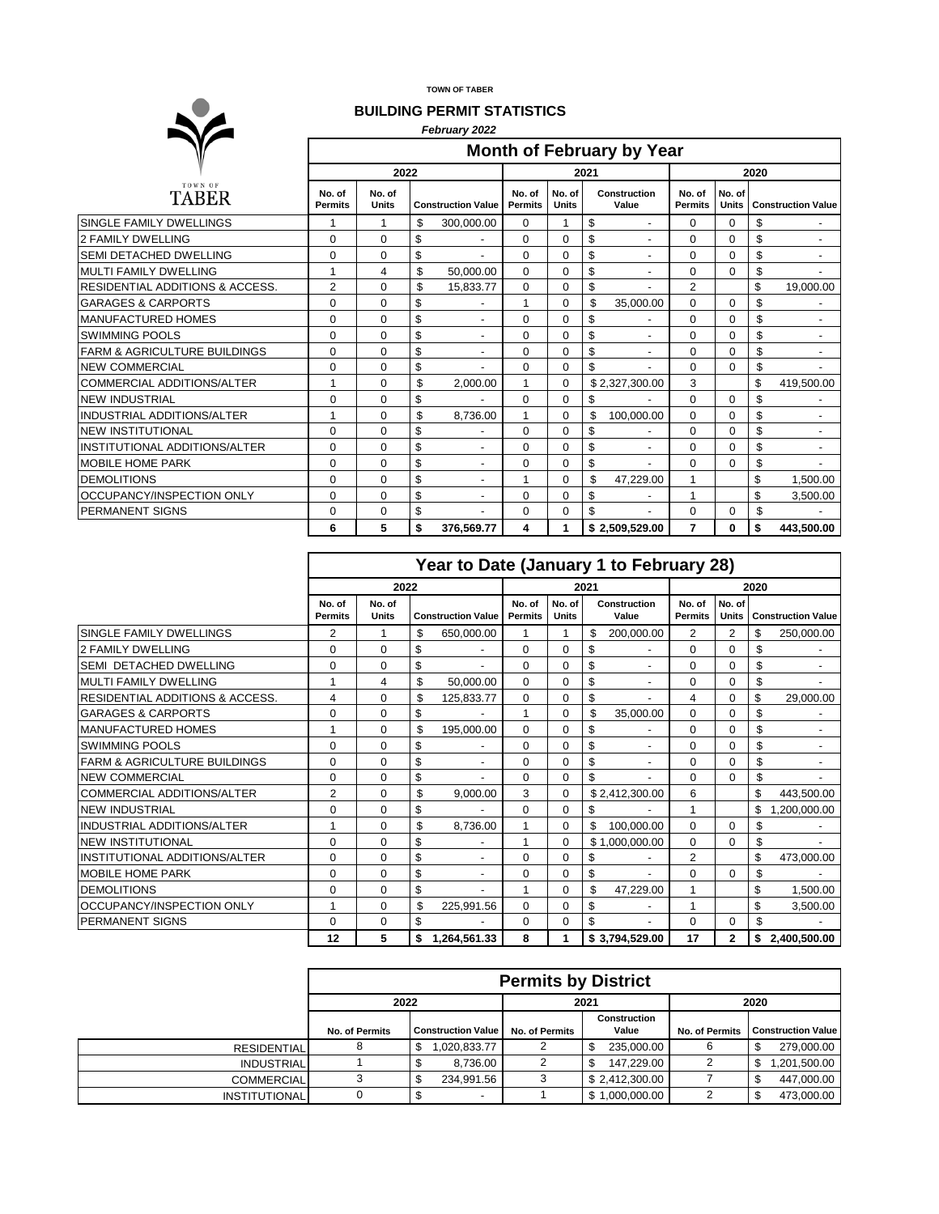**TOWN OF TABER**

## **BUILDING PERMIT STATISTICS**

| <b>BUILDING PERMIT STATISTICS</b>          |                                  |                        |    |                           |                          |                        |    |                          |                          |                        |                           |                |  |
|--------------------------------------------|----------------------------------|------------------------|----|---------------------------|--------------------------|------------------------|----|--------------------------|--------------------------|------------------------|---------------------------|----------------|--|
|                                            | February 2022                    |                        |    |                           |                          |                        |    |                          |                          |                        |                           |                |  |
|                                            | <b>Month of February by Year</b> |                        |    |                           |                          |                        |    |                          |                          |                        |                           |                |  |
|                                            |                                  | 2022<br>2021           |    |                           |                          |                        |    |                          |                          | 2020                   |                           |                |  |
| TOWN OF<br><b>TABER</b>                    | No. of<br><b>Permits</b>         | No. of<br><b>Units</b> |    | <b>Construction Value</b> | No. of<br><b>Permits</b> | No. of<br><b>Units</b> |    | Construction<br>Value    | No. of<br><b>Permits</b> | No. of<br><b>Units</b> | <b>Construction Value</b> |                |  |
| SINGLE FAMILY DWELLINGS                    | 1                                |                        | \$ | 300,000.00                | $\Omega$                 |                        | \$ | $\overline{\phantom{0}}$ | $\mathbf 0$              | 0                      | \$                        |                |  |
| <b>2 FAMILY DWELLING</b>                   | $\Omega$                         | $\Omega$               | \$ |                           | $\Omega$                 | $\Omega$               | \$ | $\overline{\phantom{0}}$ | $\Omega$                 | $\Omega$               | \$                        |                |  |
| SEMI DETACHED DWELLING                     | $\Omega$                         | $\Omega$               | \$ |                           | $\Omega$                 | $\Omega$               | \$ | $\overline{\phantom{0}}$ | $\mathbf 0$              | $\Omega$               | \$                        |                |  |
| <b>MULTI FAMILY DWELLING</b>               | 1                                | 4                      | \$ | 50.000.00                 | $\Omega$                 | $\Omega$               | \$ | $\overline{a}$           | $\mathbf 0$              | $\Omega$               | \$                        |                |  |
| <b>RESIDENTIAL ADDITIONS &amp; ACCESS.</b> | $\overline{2}$                   | $\Omega$               | \$ | 15,833.77                 | $\Omega$                 | $\Omega$               | \$ |                          | $\overline{2}$           |                        | \$                        | 19,000.00      |  |
| <b>GARAGES &amp; CARPORTS</b>              | $\Omega$                         | $\Omega$               | \$ |                           | 1                        | $\Omega$               | \$ | 35.000.00                | $\Omega$                 | $\Omega$               | \$                        |                |  |
| <b>MANUFACTURED HOMES</b>                  | $\Omega$                         | $\Omega$               | \$ |                           | $\Omega$                 | $\Omega$               | \$ |                          | $\Omega$                 | 0                      | \$                        |                |  |
| <b>SWIMMING POOLS</b>                      | 0                                | $\Omega$               | \$ | $\overline{\phantom{a}}$  | 0                        | $\Omega$               | \$ | $\overline{\phantom{a}}$ | $\Omega$                 | $\Omega$               | \$                        | $\blacksquare$ |  |
| <b>FARM &amp; AGRICULTURE BUILDINGS</b>    | 0                                | $\Omega$               | \$ |                           | $\Omega$                 | $\Omega$               | \$ | -                        | $\mathbf 0$              | 0                      | \$                        |                |  |
| <b>NEW COMMERCIAL</b>                      | 0                                | $\Omega$               | \$ |                           | $\Omega$                 | $\Omega$               | \$ |                          | $\Omega$                 | $\Omega$               | \$                        |                |  |
| <b>COMMERCIAL ADDITIONS/ALTER</b>          | $\mathbf{1}$                     | $\Omega$               | \$ | 2.000.00                  | 1                        | $\Omega$               |    | \$2,327,300.00           | 3                        |                        | \$                        | 419,500.00     |  |
| <b>NEW INDUSTRIAL</b>                      | $\Omega$                         | $\Omega$               | \$ |                           | $\mathbf 0$              | $\Omega$               | \$ |                          | 0                        | 0                      | \$                        |                |  |
| INDUSTRIAL ADDITIONS/ALTER                 | 1                                | $\Omega$               | \$ | 8,736.00                  |                          | $\Omega$               | \$ | 100,000.00               | $\mathbf 0$              | $\Omega$               | \$                        |                |  |
| <b>NEW INSTITUTIONAL</b>                   | $\Omega$                         | $\Omega$               | \$ |                           | $\Omega$                 | $\Omega$               | \$ |                          | $\Omega$                 | $\Omega$               | \$                        |                |  |
| INSTITUTIONAL ADDITIONS/ALTER              | $\Omega$                         | $\Omega$               | \$ |                           | $\Omega$                 | $\Omega$               | \$ | ٠                        | $\mathbf 0$              | 0                      | \$                        |                |  |
| MOBILE HOME PARK                           | $\Omega$                         | $\Omega$               | \$ | $\overline{\phantom{a}}$  | 0                        | $\Omega$               | \$ |                          | $\Omega$                 | $\Omega$               | \$                        |                |  |
| <b>DEMOLITIONS</b>                         | 0                                | $\Omega$               | \$ |                           |                          | $\Omega$               | \$ | 47,229.00                | $\mathbf{1}$             |                        | \$                        | 1,500.00       |  |
| OCCUPANCY/INSPECTION ONLY                  | 0                                | 0                      | \$ |                           | $\Omega$                 | 0                      | \$ |                          | 1                        |                        | \$                        | 3,500.00       |  |
| <b>PERMANENT SIGNS</b>                     | 0                                | $\mathbf 0$            | \$ |                           | $\Omega$                 | $\Omega$               | \$ |                          | $\mathbf 0$              | $\Omega$               | \$                        |                |  |
|                                            | 6                                | 5                      | \$ | 376,569.77                | 4                        | 1                      |    | \$2,509,529.00           | $\overline{7}$           | 0                      | \$                        | 443.500.00     |  |

|                                   | Year to Date (January 1 to February 28) |                        |    |                           |                          |                        |         |                       |                          |                        |                                |                           |
|-----------------------------------|-----------------------------------------|------------------------|----|---------------------------|--------------------------|------------------------|---------|-----------------------|--------------------------|------------------------|--------------------------------|---------------------------|
|                                   | 2022                                    |                        |    |                           | 2021                     |                        |         |                       | 2020                     |                        |                                |                           |
|                                   | No. of<br><b>Permits</b>                | No. of<br><b>Units</b> |    | <b>Construction Value</b> | No. of<br><b>Permits</b> | No. of<br><b>Units</b> |         | Construction<br>Value | No. of<br><b>Permits</b> | No. of<br><b>Units</b> |                                | <b>Construction Value</b> |
| SINGLE FAMILY DWELLINGS           | 2                                       |                        | \$ | 650,000.00                |                          |                        | \$      | 200,000.00            | 2                        | 2                      | \$                             | 250,000.00                |
| 2 FAMILY DWELLING                 | $\Omega$                                | $\Omega$               | \$ |                           | $\Omega$                 | $\Omega$               | \$<br>٠ |                       | 0                        | $\Omega$               | \$                             |                           |
| <b>SEMI DETACHED DWELLING</b>     | $\Omega$                                | $\Omega$               | \$ |                           | $\Omega$                 | $\Omega$               | \$      | $\overline{a}$        | 0<br>$\Omega$<br>\$      |                        |                                |                           |
| MULTI FAMILY DWELLING             |                                         | 4                      | \$ | 50,000.00                 | $\Omega$                 | $\Omega$               | \$<br>٠ |                       | $\Omega$                 | $\Omega$               | \$<br>$\overline{\phantom{a}}$ |                           |
| IRESIDENTIAL ADDITIONS & ACCESS.  | 4                                       | $\Omega$               | \$ | 125.833.77                | $\Omega$                 | $\Omega$               | \$      |                       | $\overline{4}$           | 0                      | \$                             | 29.000.00                 |
| <b>GARAGES &amp; CARPORTS</b>     | 0                                       | $\Omega$               | \$ |                           | 1                        | $\Omega$               | \$      | 35.000.00             | $\Omega$                 | 0                      | \$                             |                           |
| <b>IMANUFACTURED HOMES</b>        |                                         | $\Omega$               | \$ | 195.000.00                | $\Omega$                 | $\Omega$               | \$      |                       | $\Omega$                 | $\Omega$               | \$                             |                           |
| <b>SWIMMING POOLS</b>             | $\Omega$                                | $\Omega$               | \$ |                           | $\Omega$                 | $\Omega$               | \$      | $\blacksquare$        | $\Omega$                 | 0                      | \$                             |                           |
| FARM & AGRICULTURE BUILDINGS      | 0                                       | $\Omega$               | \$ |                           | $\Omega$                 | $\Omega$               | \$      | ٠                     | $\Omega$                 | 0                      | \$                             |                           |
| <b>NEW COMMERCIAL</b>             | $\Omega$                                | $\Omega$               | \$ |                           | $\Omega$                 | $\Omega$               | \$      |                       | $\Omega$                 | 0                      | \$                             |                           |
| <b>COMMERCIAL ADDITIONS/ALTER</b> | $\overline{2}$                          | $\Omega$               | \$ | 9.000.00                  | 3                        | $\Omega$               |         | \$2,412,300.00        | 6                        |                        | \$                             | 443,500.00                |
| <b>NEW INDUSTRIAL</b>             | $\Omega$                                | $\Omega$               | \$ |                           | $\Omega$                 | $\Omega$               | \$      |                       | 1                        |                        | \$                             | ,200,000.00               |
| <b>INDUSTRIAL ADDITIONS/ALTER</b> |                                         | $\Omega$               | \$ | 8.736.00                  | 1                        | $\Omega$               | \$      | 100,000.00            | $\Omega$                 | $\Omega$               | \$                             |                           |
| <b>NEW INSTITUTIONAL</b>          | $\Omega$                                | $\Omega$               | \$ |                           | 1                        | $\Omega$               |         | \$1,000,000.00        | $\Omega$                 | $\Omega$               | \$                             |                           |
| INSTITUTIONAL ADDITIONS/ALTER     | $\Omega$                                | $\Omega$               | \$ |                           | $\Omega$                 | $\Omega$               | \$      |                       | 2                        |                        | \$                             | 473.000.00                |
| <b>MOBILE HOME PARK</b>           | $\Omega$                                | $\Omega$               | \$ |                           | $\Omega$                 | $\Omega$               | \$      |                       | $\Omega$                 | $\Omega$               | \$                             |                           |
| <b>DEMOLITIONS</b>                | $\Omega$                                | $\Omega$               | \$ |                           |                          | $\Omega$               | \$      | 47,229.00             | 1                        |                        | \$                             | 1.500.00                  |
| OCCUPANCY/INSPECTION ONLY         |                                         | $\Omega$               | \$ | 225,991.56                | $\Omega$                 | $\Omega$               | \$      |                       | 1                        |                        | \$                             | 3,500.00                  |
| <b>PERMANENT SIGNS</b>            | $\Omega$                                | $\Omega$               | \$ |                           | $\Omega$                 | $\Omega$               | \$      |                       | $\Omega$                 | $\Omega$               | \$                             |                           |
|                                   | 12                                      | 5                      | \$ | 1.264.561.33              | 8                        |                        |         | \$3,794,529.00        | 17                       | $\mathbf{2}$           | \$                             | 2.400.500.00              |

٦

 $\Gamma$ 

|                      | <b>Permits by District</b> |                           |                |                              |                |                           |  |  |  |  |  |
|----------------------|----------------------------|---------------------------|----------------|------------------------------|----------------|---------------------------|--|--|--|--|--|
|                      | 2022                       |                           |                | 2021                         | 2020           |                           |  |  |  |  |  |
|                      | No. of Permits             | <b>Construction Value</b> | No. of Permits | <b>Construction</b><br>Value | No. of Permits | <b>Construction Value</b> |  |  |  |  |  |
| <b>RESIDENTIAL</b>   |                            | 1,020,833.77<br>S         |                | 235,000.00<br>\$             | 6              | 279,000.00<br>\$          |  |  |  |  |  |
| <b>INDUSTRIAL</b>    |                            | 8.736.00                  |                | 147.229.00<br>\$             |                | 1,201,500.00<br>\$        |  |  |  |  |  |
| <b>COMMERCIAL</b>    |                            | 234.991.56                |                | \$ 2.412,300.00              |                | 447,000.00<br>\$          |  |  |  |  |  |
| <b>INSTITUTIONAL</b> |                            |                           |                | \$1,000,000.00               | າ              | 473,000.00<br>\$          |  |  |  |  |  |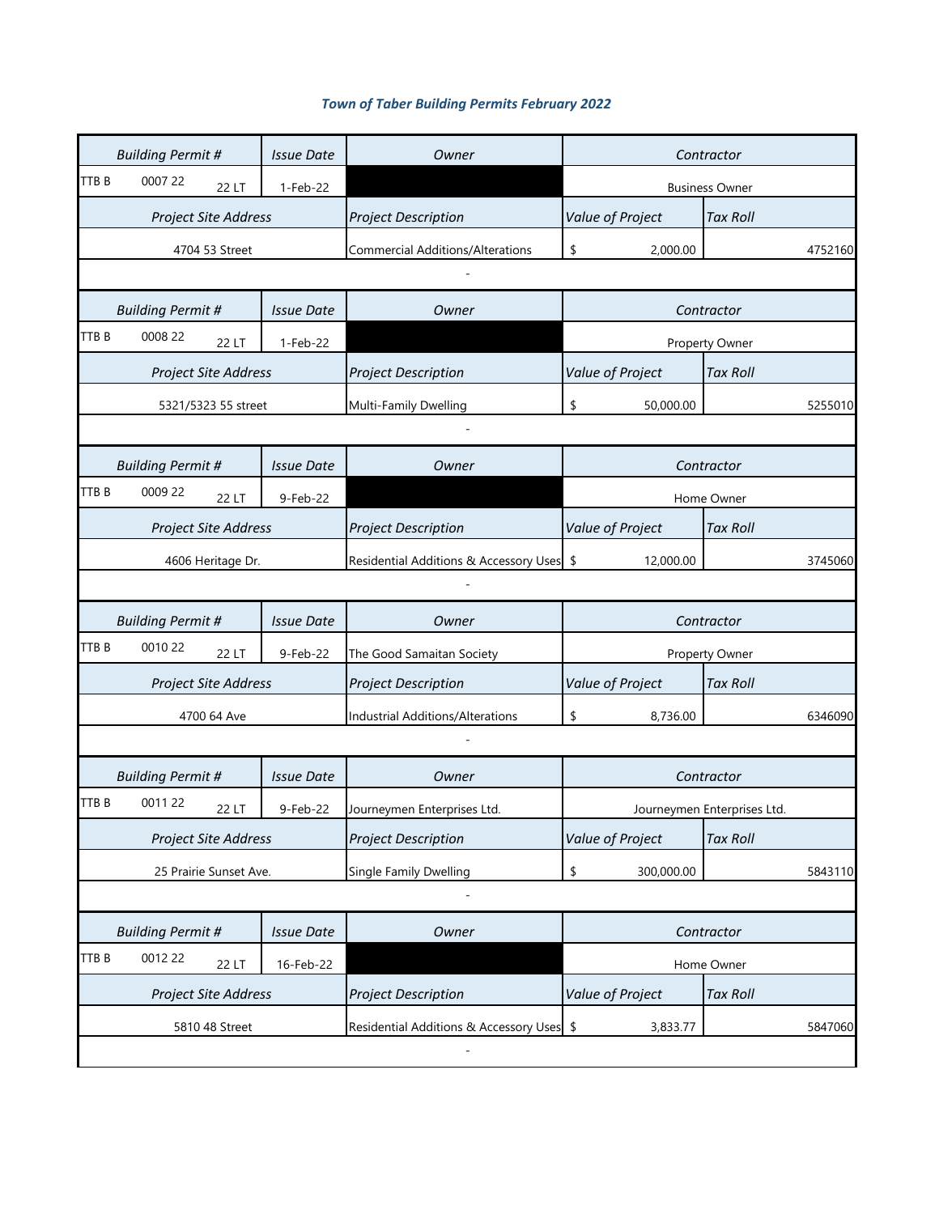| <b>Town of Taber Building Permits February 2022</b> |  |  |
|-----------------------------------------------------|--|--|
|-----------------------------------------------------|--|--|

|       | <b>Building Permit #</b>    | <b>Issue Date</b> | Owner                                     | Contractor       |                             |  |  |  |
|-------|-----------------------------|-------------------|-------------------------------------------|------------------|-----------------------------|--|--|--|
| TTB B | 0007 22<br>22 LT            | 1-Feb-22          |                                           |                  | <b>Business Owner</b>       |  |  |  |
|       | Project Site Address        |                   | <b>Project Description</b>                | Value of Project | <b>Tax Roll</b>             |  |  |  |
|       | 4704 53 Street              |                   | <b>Commercial Additions/Alterations</b>   | \$<br>2,000.00   | 4752160                     |  |  |  |
|       |                             |                   |                                           |                  |                             |  |  |  |
|       | <b>Building Permit #</b>    | <b>Issue Date</b> | Owner                                     |                  | Contractor                  |  |  |  |
| TTB B | 0008 22<br>22 LT            | 1-Feb-22          |                                           |                  | Property Owner              |  |  |  |
|       | Project Site Address        |                   | <b>Project Description</b>                | Value of Project | <b>Tax Roll</b>             |  |  |  |
|       | 5321/5323 55 street         |                   | Multi-Family Dwelling                     | \$<br>50,000.00  | 5255010                     |  |  |  |
|       |                             |                   |                                           |                  |                             |  |  |  |
|       | <b>Building Permit #</b>    | <b>Issue Date</b> | Owner                                     |                  | Contractor                  |  |  |  |
| TTB B | 0009 22<br>22 LT            | 9-Feb-22          |                                           |                  | Home Owner                  |  |  |  |
|       | <b>Project Site Address</b> |                   | <b>Project Description</b>                | Value of Project | <b>Tax Roll</b>             |  |  |  |
|       | 4606 Heritage Dr.           |                   | Residential Additions & Accessory Uses \$ | 12,000.00        | 3745060                     |  |  |  |
|       |                             |                   |                                           |                  |                             |  |  |  |
|       | <b>Building Permit #</b>    | <b>Issue Date</b> | Owner                                     |                  | Contractor                  |  |  |  |
| TTB B | 0010 22<br>22 LT            | 9-Feb-22          | The Good Samaitan Society                 |                  | Property Owner              |  |  |  |
|       | <b>Project Site Address</b> |                   | <b>Project Description</b>                | Value of Project | <b>Tax Roll</b>             |  |  |  |
|       | 4700 64 Ave                 |                   | Industrial Additions/Alterations          | \$<br>8,736.00   | 6346090                     |  |  |  |
|       |                             |                   |                                           |                  |                             |  |  |  |
|       | <b>Building Permit #</b>    | <b>Issue Date</b> | Owner                                     |                  | Contractor                  |  |  |  |
| TTB B | 0011 22<br>22 LT            | 9-Feb-22          | Journeymen Enterprises Ltd.               |                  | Journeymen Enterprises Ltd. |  |  |  |
|       | <b>Project Site Address</b> |                   | <b>Project Description</b>                | Value of Project | <b>Tax Roll</b>             |  |  |  |
|       | 25 Prairie Sunset Ave.      |                   | Single Family Dwelling                    | \$<br>300,000.00 | 5843110                     |  |  |  |
|       |                             |                   |                                           |                  |                             |  |  |  |
|       | <b>Building Permit #</b>    | <b>Issue Date</b> | Owner                                     |                  | Contractor                  |  |  |  |
| TTB B | 0012 22<br>22 LT            | 16-Feb-22         |                                           |                  | Home Owner                  |  |  |  |
|       | Project Site Address        |                   | <b>Project Description</b>                | Value of Project | <b>Tax Roll</b>             |  |  |  |
|       | 5810 48 Street              |                   | Residential Additions & Accessory Uses \$ | 3,833.77         | 5847060                     |  |  |  |
|       |                             |                   |                                           |                  |                             |  |  |  |